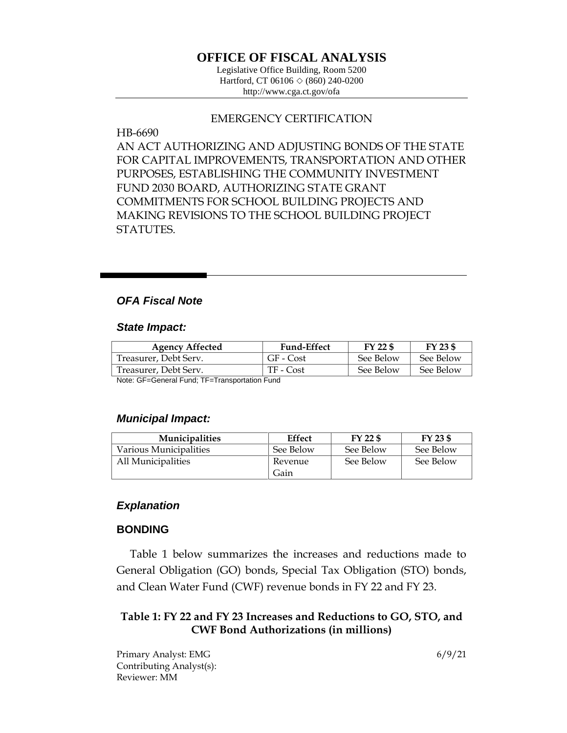# **OFFICE OF FISCAL ANALYSIS**

Legislative Office Building, Room 5200 Hartford, CT 06106  $\Diamond$  (860) 240-0200 http://www.cga.ct.gov/ofa

### EMERGENCY CERTIFICATION

### HB-6690

AN ACT AUTHORIZING AND ADJUSTING BONDS OF THE STATE FOR CAPITAL IMPROVEMENTS, TRANSPORTATION AND OTHER PURPOSES, ESTABLISHING THE COMMUNITY INVESTMENT FUND 2030 BOARD, AUTHORIZING STATE GRANT COMMITMENTS FOR SCHOOL BUILDING PROJECTS AND MAKING REVISIONS TO THE SCHOOL BUILDING PROJECT STATUTES.

## *OFA Fiscal Note*

#### *State Impact:*

| <b>Agency Affected</b> | <b>Fund-Effect</b> | FY 22 \$  | FY 23 \$  |
|------------------------|--------------------|-----------|-----------|
| Treasurer, Debt Serv.  | GF - Cost          | See Below | See Below |
| Treasurer, Debt Serv.  | TF - Cost          | See Below | See Below |

Note: GF=General Fund; TF=Transportation Fund

#### *Municipal Impact:*

| <b>Municipalities</b>  | <b>Effect</b> | $FY$ 22 \$ | FY 23 \$  |
|------------------------|---------------|------------|-----------|
| Various Municipalities | See Below     | See Below  | See Below |
| All Municipalities     | Revenue       | See Below  | See Below |
|                        | Gain          |            |           |

### *Explanation*

### **BONDING**

Table 1 below summarizes the increases and reductions made to General Obligation (GO) bonds, Special Tax Obligation (STO) bonds, and Clean Water Fund (CWF) revenue bonds in FY 22 and FY 23.

## **Table 1: FY 22 and FY 23 Increases and Reductions to GO, STO, and CWF Bond Authorizations (in millions)**

Primary Analyst: EMG 6/9/21 Contributing Analyst(s): Reviewer: MM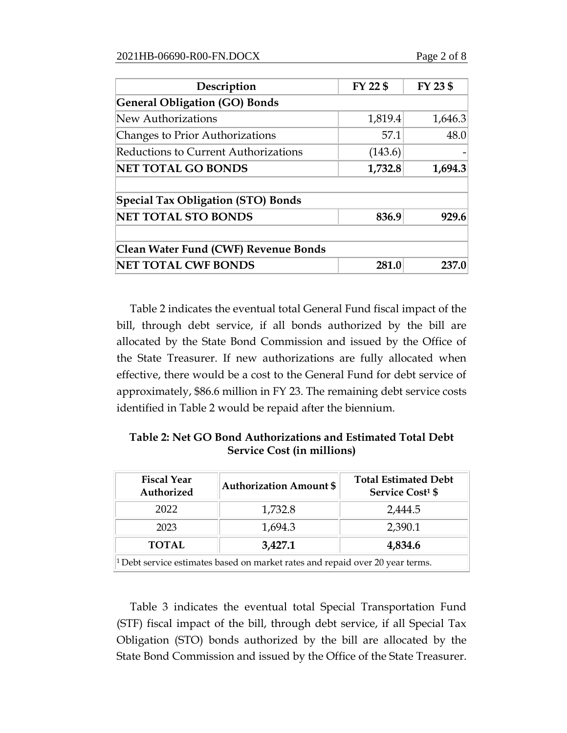| Description                                 | FY 22 \$ | FY 23 \$ |
|---------------------------------------------|----------|----------|
| <b>General Obligation (GO) Bonds</b>        |          |          |
| New Authorizations                          | 1,819.4  | 1,646.3  |
| Changes to Prior Authorizations             | 57.1     | 48.0     |
| <b>Reductions to Current Authorizations</b> | (143.6)  |          |
| <b>NET TOTAL GO BONDS</b>                   | 1,732.8  | 1,694.3  |
| <b>Special Tax Obligation (STO) Bonds</b>   |          |          |
| <b>NET TOTAL STO BONDS</b>                  | 836.9    | 929.6    |
| Clean Water Fund (CWF) Revenue Bonds        |          |          |
| <b>NET TOTAL CWF BONDS</b>                  | 281.0    | 237.0    |

Table 2 indicates the eventual total General Fund fiscal impact of the bill, through debt service, if all bonds authorized by the bill are allocated by the State Bond Commission and issued by the Office of the State Treasurer. If new authorizations are fully allocated when effective, there would be a cost to the General Fund for debt service of approximately, \$86.6 million in FY 23. The remaining debt service costs identified in Table 2 would be repaid after the biennium.

**Table 2: Net GO Bond Authorizations and Estimated Total Debt Service Cost (in millions)**

| <b>Fiscal Year</b><br>Authorized                                                         | <b>Authorization Amount \$</b> | <b>Total Estimated Debt</b><br><b>Service Cost<sup>1</sup> \$</b> |  |
|------------------------------------------------------------------------------------------|--------------------------------|-------------------------------------------------------------------|--|
| 2022                                                                                     | 1,732.8                        | 2,444.5                                                           |  |
| 2023                                                                                     | 1,694.3                        | 2,390.1                                                           |  |
| <b>TOTAL</b>                                                                             | 3,427.1                        | 4,834.6                                                           |  |
| <sup>1</sup> Debt service estimates based on market rates and repaid over 20 year terms. |                                |                                                                   |  |

Table 3 indicates the eventual total Special Transportation Fund (STF) fiscal impact of the bill, through debt service, if all Special Tax Obligation (STO) bonds authorized by the bill are allocated by the State Bond Commission and issued by the Office of the State Treasurer.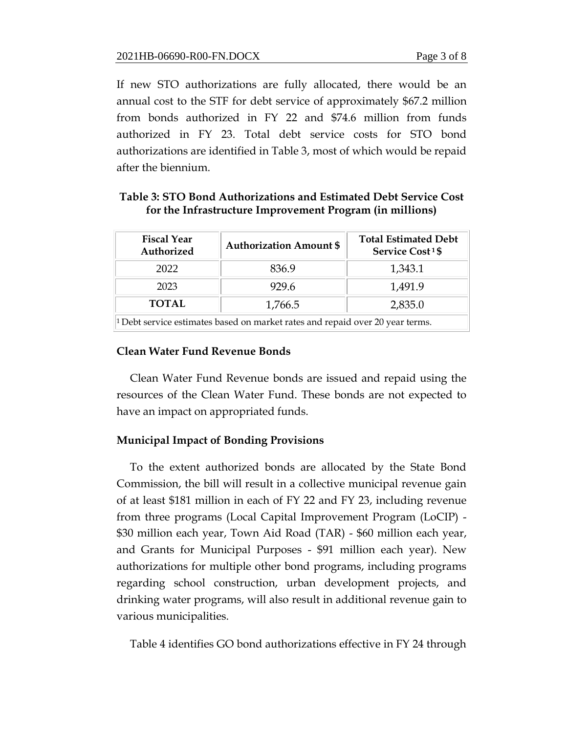If new STO authorizations are fully allocated, there would be an annual cost to the STF for debt service of approximately \$67.2 million from bonds authorized in FY 22 and \$74.6 million from funds authorized in FY 23. Total debt service costs for STO bond authorizations are identified in Table 3, most of which would be repaid after the biennium.

## **Table 3: STO Bond Authorizations and Estimated Debt Service Cost for the Infrastructure Improvement Program (in millions)**

| <b>Fiscal Year</b><br>Authorized                                                         | <b>Authorization Amount \$</b> | <b>Total Estimated Debt</b><br><b>Service Cost 1\$</b> |  |
|------------------------------------------------------------------------------------------|--------------------------------|--------------------------------------------------------|--|
| 2022                                                                                     | 836.9                          | 1,343.1                                                |  |
| 2023                                                                                     | 929.6                          | 1,491.9                                                |  |
| <b>TOTAL</b>                                                                             | 1,766.5                        | 2,835.0                                                |  |
| <sup>1</sup> Debt service estimates based on market rates and repaid over 20 year terms. |                                |                                                        |  |

## **Clean Water Fund Revenue Bonds**

Clean Water Fund Revenue bonds are issued and repaid using the resources of the Clean Water Fund. These bonds are not expected to have an impact on appropriated funds.

## **Municipal Impact of Bonding Provisions**

To the extent authorized bonds are allocated by the State Bond Commission, the bill will result in a collective municipal revenue gain of at least \$181 million in each of FY 22 and FY 23, including revenue from three programs (Local Capital Improvement Program (LoCIP) - \$30 million each year, Town Aid Road (TAR) - \$60 million each year, and Grants for Municipal Purposes - \$91 million each year). New authorizations for multiple other bond programs, including programs regarding school construction, urban development projects, and drinking water programs, will also result in additional revenue gain to various municipalities.

Table 4 identifies GO bond authorizations effective in FY 24 through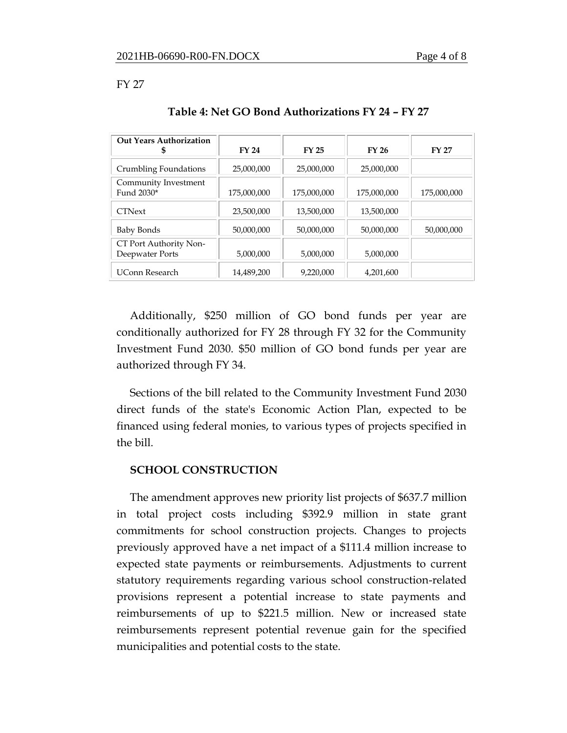#### FY 27

| <b>Out Years Authorization</b><br>\$      | FY 24       | <b>FY 25</b> | FY 26       | <b>FY 27</b> |
|-------------------------------------------|-------------|--------------|-------------|--------------|
| Crumbling Foundations                     | 25,000,000  | 25,000,000   | 25,000,000  |              |
| Community Investment<br>Fund 2030*        | 175,000,000 | 175,000,000  | 175,000,000 | 175,000,000  |
| <b>CTNext</b>                             | 23,500,000  | 13,500,000   | 13,500,000  |              |
| Baby Bonds                                | 50,000,000  | 50,000,000   | 50,000,000  | 50,000,000   |
| CT Port Authority Non-<br>Deepwater Ports | 5,000,000   | 5,000,000    | 5,000,000   |              |
| <b>UConn Research</b>                     | 14,489,200  | 9,220,000    | 4,201,600   |              |

### **Table 4: Net GO Bond Authorizations FY 24 – FY 27**

Additionally, \$250 million of GO bond funds per year are conditionally authorized for FY 28 through FY 32 for the Community Investment Fund 2030. \$50 million of GO bond funds per year are authorized through FY 34.

Sections of the bill related to the Community Investment Fund 2030 direct funds of the state's Economic Action Plan, expected to be financed using federal monies, to various types of projects specified in the bill.

### **SCHOOL CONSTRUCTION**

The amendment approves new priority list projects of \$637.7 million in total project costs including \$392.9 million in state grant commitments for school construction projects. Changes to projects previously approved have a net impact of a \$111.4 million increase to expected state payments or reimbursements. Adjustments to current statutory requirements regarding various school construction-related provisions represent a potential increase to state payments and reimbursements of up to \$221.5 million. New or increased state reimbursements represent potential revenue gain for the specified municipalities and potential costs to the state.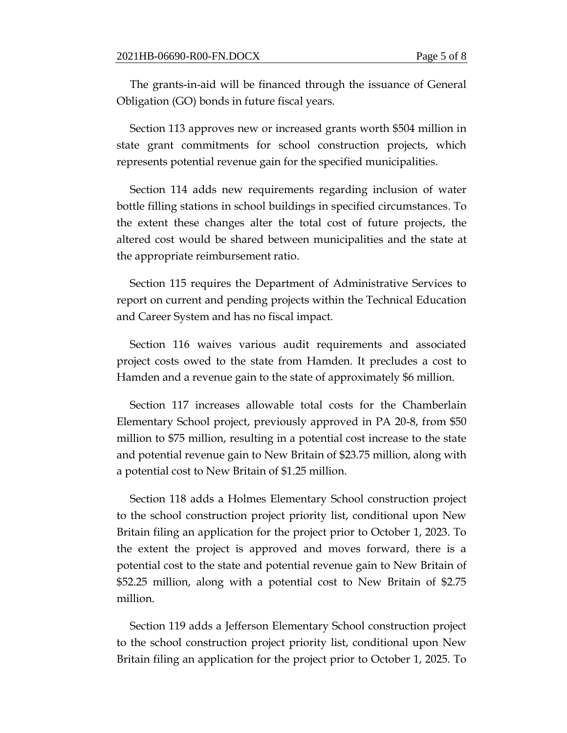The grants-in-aid will be financed through the issuance of General Obligation (GO) bonds in future fiscal years.

Section 113 approves new or increased grants worth \$504 million in state grant commitments for school construction projects, which represents potential revenue gain for the specified municipalities.

Section 114 adds new requirements regarding inclusion of water bottle filling stations in school buildings in specified circumstances. To the extent these changes alter the total cost of future projects, the altered cost would be shared between municipalities and the state at the appropriate reimbursement ratio.

Section 115 requires the Department of Administrative Services to report on current and pending projects within the Technical Education and Career System and has no fiscal impact.

Section 116 waives various audit requirements and associated project costs owed to the state from Hamden. It precludes a cost to Hamden and a revenue gain to the state of approximately \$6 million.

Section 117 increases allowable total costs for the Chamberlain Elementary School project, previously approved in PA 20-8, from \$50 million to \$75 million, resulting in a potential cost increase to the state and potential revenue gain to New Britain of \$23.75 million, along with a potential cost to New Britain of \$1.25 million.

Section 118 adds a Holmes Elementary School construction project to the school construction project priority list, conditional upon New Britain filing an application for the project prior to October 1, 2023. To the extent the project is approved and moves forward, there is a potential cost to the state and potential revenue gain to New Britain of \$52.25 million, along with a potential cost to New Britain of \$2.75 million.

Section 119 adds a Jefferson Elementary School construction project to the school construction project priority list, conditional upon New Britain filing an application for the project prior to October 1, 2025. To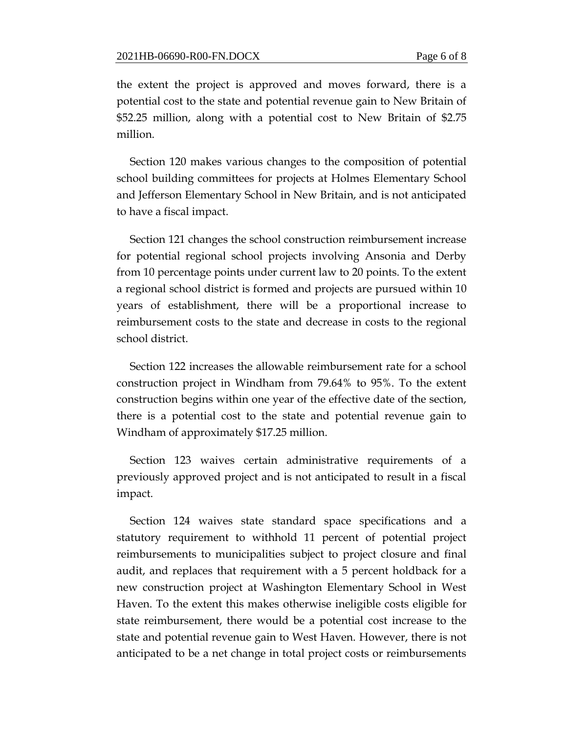the extent the project is approved and moves forward, there is a potential cost to the state and potential revenue gain to New Britain of \$52.25 million, along with a potential cost to New Britain of \$2.75 million.

Section 120 makes various changes to the composition of potential school building committees for projects at Holmes Elementary School and Jefferson Elementary School in New Britain, and is not anticipated to have a fiscal impact.

Section 121 changes the school construction reimbursement increase for potential regional school projects involving Ansonia and Derby from 10 percentage points under current law to 20 points. To the extent a regional school district is formed and projects are pursued within 10 years of establishment, there will be a proportional increase to reimbursement costs to the state and decrease in costs to the regional school district.

Section 122 increases the allowable reimbursement rate for a school construction project in Windham from 79.64% to 95%. To the extent construction begins within one year of the effective date of the section, there is a potential cost to the state and potential revenue gain to Windham of approximately \$17.25 million.

Section 123 waives certain administrative requirements of a previously approved project and is not anticipated to result in a fiscal impact.

Section 124 waives state standard space specifications and a statutory requirement to withhold 11 percent of potential project reimbursements to municipalities subject to project closure and final audit, and replaces that requirement with a 5 percent holdback for a new construction project at Washington Elementary School in West Haven. To the extent this makes otherwise ineligible costs eligible for state reimbursement, there would be a potential cost increase to the state and potential revenue gain to West Haven. However, there is not anticipated to be a net change in total project costs or reimbursements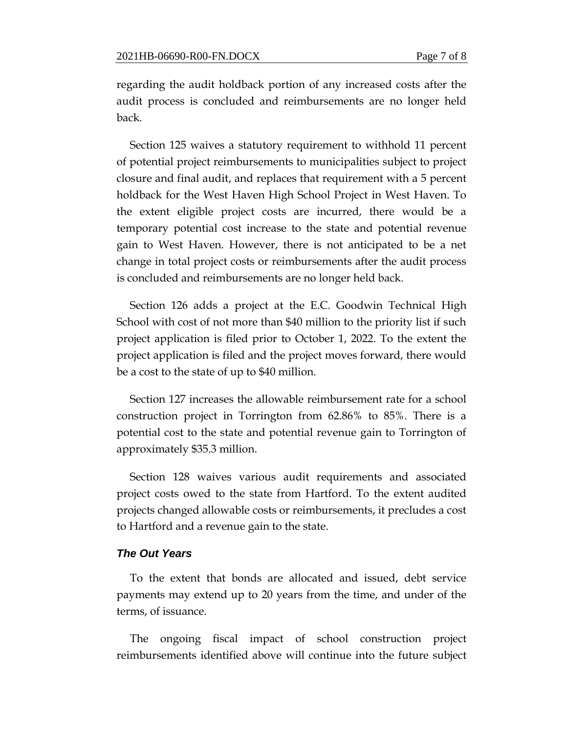regarding the audit holdback portion of any increased costs after the audit process is concluded and reimbursements are no longer held back.

Section 125 waives a statutory requirement to withhold 11 percent of potential project reimbursements to municipalities subject to project closure and final audit, and replaces that requirement with a 5 percent holdback for the West Haven High School Project in West Haven. To the extent eligible project costs are incurred, there would be a temporary potential cost increase to the state and potential revenue gain to West Haven. However, there is not anticipated to be a net change in total project costs or reimbursements after the audit process is concluded and reimbursements are no longer held back.

Section 126 adds a project at the E.C. Goodwin Technical High School with cost of not more than \$40 million to the priority list if such project application is filed prior to October 1, 2022. To the extent the project application is filed and the project moves forward, there would be a cost to the state of up to \$40 million.

Section 127 increases the allowable reimbursement rate for a school construction project in Torrington from 62.86% to 85%. There is a potential cost to the state and potential revenue gain to Torrington of approximately \$35.3 million.

Section 128 waives various audit requirements and associated project costs owed to the state from Hartford. To the extent audited projects changed allowable costs or reimbursements, it precludes a cost to Hartford and a revenue gain to the state.

#### *The Out Years*

To the extent that bonds are allocated and issued, debt service payments may extend up to 20 years from the time, and under of the terms, of issuance.

The ongoing fiscal impact of school construction project reimbursements identified above will continue into the future subject